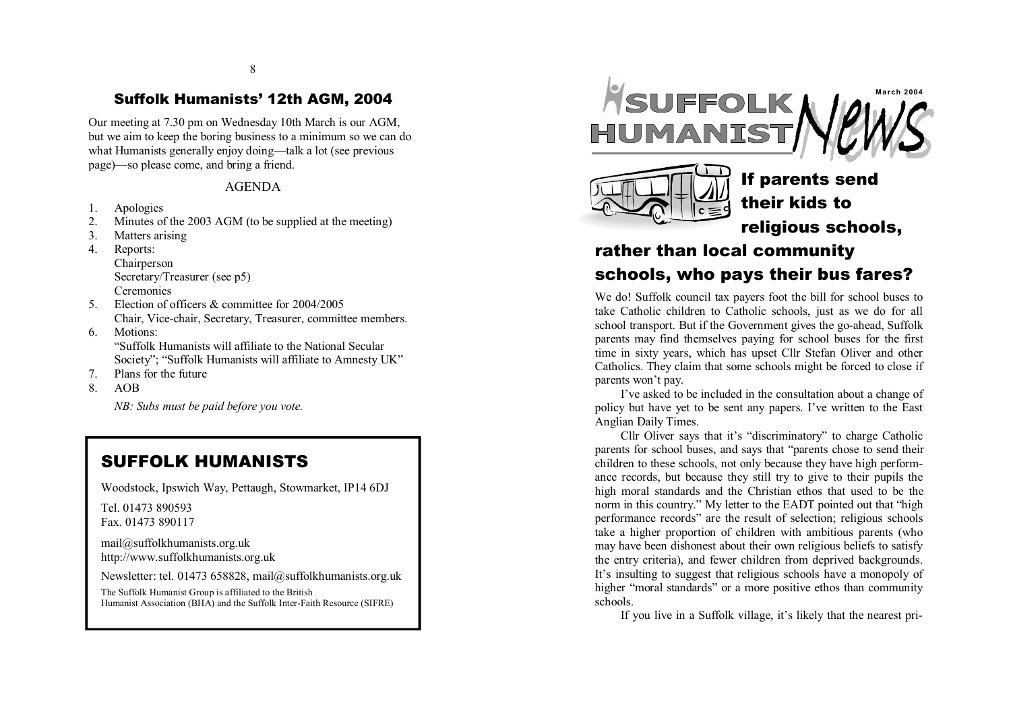### 8

## Su ffolk Humani s t s' 12th AGM, 2004

Our meeting at 7.30 pm on Wednesday 10th March is our AGM, but we aim to keep the boring business to a minimum so we can do what Humanists generally enjoy doing—talk a lot (see previous pag e)—s o pl eas e co m e, and br i n g a fri end.

### AGEN DA

- 1 . Apologies
- 2 . Minutes of the 2003 AGM (to be supplied at the meeting)
- 3 . Matters arising

4 . Reports: Chairperson Secretary/Treasurer (see p5) **Ceremonies** 

- 5. Election of officers & committee for 2004/2005 Chair, Vice-chair, Secretary, Treasurer, committee members.
- 6 . Motions: "Suffolk Humanists will affiliate to the National Secular Society"; "Suffolk Humanists will affiliate to Amnesty UK"
- 7 . Pl an s fo r th e fut ure
- 8 . AOB

*NB*: *Subs must be paid before you vote.* 

## SUFFO L K HU MAN ISTS

Woodstock, Ipswich Way, Pettaugh, Stowmarket, IP14 6DJ

Tel. 01473 890593 Fax . 014 7 3 8 90117

mail@suffolkhum[anists](mailto:mail@suffolkhumanists.org.uk).org.uk http://www[.suffolk](http://www.suffolkhumanists.org.uk)humanists.org.uk

Newsletter: tel. 01473 658828, ma[il@suffolk](mailto:mail@suffolkhumanists.org.uk)humanists.org.uk

The Suffolk Humanist Group is affiliated to the British Humanist Association (BHA) and the Suffolk Inter-Faith Resource (SIFRE)





If parent s send their kid s to religiou s schools,

# rather than local commu nity schools, who pays their bus fares?

We do! Suffolk council tax payers foot the bill for school buses to take Catholic children to Catholic schools, just as we do for all school transport. But if the Government gives the go-ahead, Suffolk parents may find themselves paying for school buses for the first time in sixty years, which has upset Cllr Stefan Oliver and other Catholics. They claim that some schools might be forced to close if parents won't pay.

I've asked to be included in the consultation about a change of policy but have yet to be sent any papers. I've written to the East Anglian Daily Times.

Cllr Oliver says that it's "discriminatory" to charge Catholic parents for school buses, and says that "parents chose to send their children to these schools, not only because they have high performance records, but because they still try to give to their pupils the high moral standards and the Christian ethos that used to be the norm in this country." My letter to the EADT pointed out that "high performance records" are the result of selection; religious schools take a higher proportion of children with ambitious parents (who may have been dishonest about their own religious beliefs to satisfy the entry criteria), and fewer children from deprived backgrounds. It's insulting to suggest that religious schools have a monopoly of higher "moral standards" or a more positive ethos than community s c

hools.<br>If you live in a Suffolk village, it's likely that the nearest pri-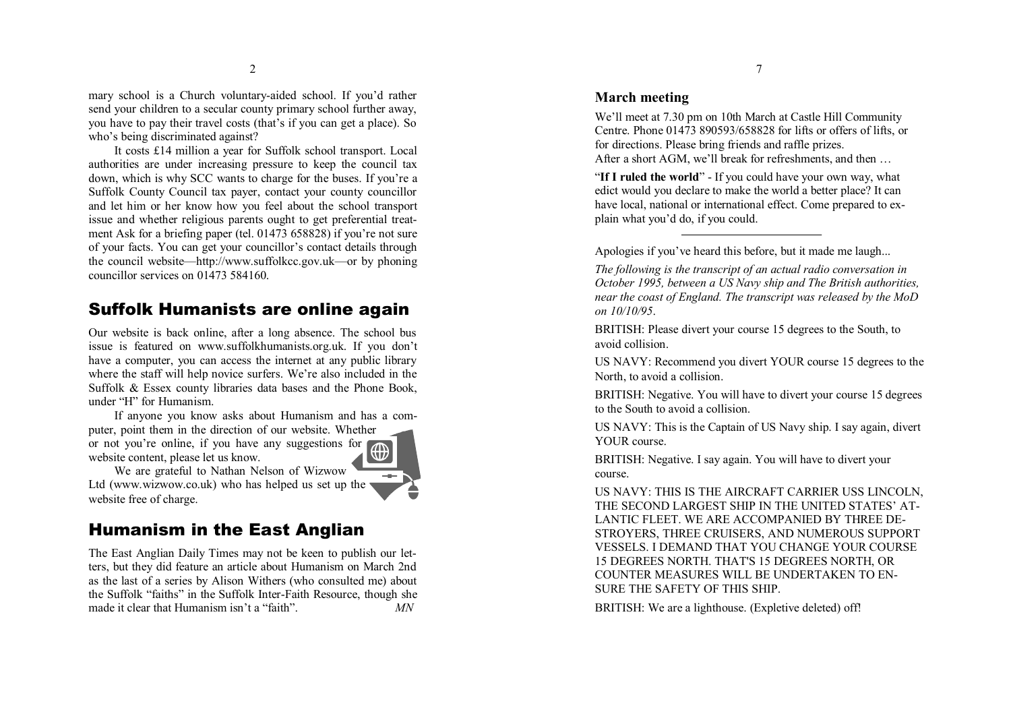mary school is a Church voluntary-aided school. If you'd rather send your children to a secular county primary school further away, you have to pay their travel costs (that's if you can get a place). So who's being discriminated against?

It costs £14 million a year for Suffolk school transport. Local authorities are under increasing pressure to keep the council tax down, which is why SCC wants to charge for the buses. If you're a Suffolk County Council tax payer, contact your county councillor and let him or her know how you feel about the school transport issue and whether religious parents ought to get preferential treatment Ask for a briefing paper (tel. 01473 658828) if you're not sure of your facts. You can get your councillor's contact details through the council website—http://www.suffolkcc.gov.uk—or by phoning councillor services on 01473 584160.

## Suffolk Humanists are online again

Our website is back online, after a long absence. The school bus issue is featured on www.suffolkh[umanist](http://www.suffolkhumanists.org.uk)s.org.uk. If you don't have a computer, you can access the internet at any public library where the staff will help novice surfers. We're also included in the Suffolk & Essex county libraries data bases and the Phone Book, under "H" for Humanism.

If anyone you know asks about Humanism and has a computer, point them in the direction of our website. Whether or not you're online, if you have any suggestions for website content, please let us know.



## Humanism in the East Anglian

The East Anglian Daily Times may not be keen to publish our letters, but they did feature an article about Humanism on March 2nd as the last of a series by Alison Withers (who consulted me) about the Suffolk "faiths" in the Suffolk Inter-Faith Resource, though she made it clear that Humanism isn't a "faith" . *MN*

### **M a rch meeting**

We'll meet at 7.30 pm on 10th March at Castle Hill Community Centre. Phone 01473 890593/658828 for lifts or offers of lifts, or for directions. Please bring friends and raffle prizes. After a short AGM, we'll break for refreshments, and then ...

"If I ruled the world" - If you could have your own way, what edict would you declare to make the world a better place? It can have local, national or international effect. Come prepared to explain what you'd do, if you could.

Apologies if you've heard this before, but it made me laugh...

The following is the transcript of an actual radio conversation in October 1995, between a US Navy ship and The British authorities, near the coast of England. The transcript was released by the MoD *on 1 0/10/95*.

BRITISH: Please divert your course 15 degrees to the South, to avoid collisi o n.

US NAVY: Recommend you divert YOUR course 15 degrees to the North, to avoid a collision.

BRITISH: Negative. You will have to divert your course 15 degrees to the South to avoid a collision.

US NAVY: This is the Captain of US Navy ship. I say again, divert YOUR course.

BRITISH: Negative. I say again. You will have to divert your course.

US NAVY: THIS IS THE AIRCRAFT CARRIER USS LINCOLN, THE SECOND LARGEST SHIP IN THE UNITED STATES' AT-LANTIC FLEET. WE ARE ACCOMPANIED BY THREE DE-STROYERS, THREE CRUISERS, AND NUMEROUS SUPPORT VESSELS. I DEMAND THAT YOU CHANGE YOUR COURSE 15 DEGREES NO RT H. T HAT'S 15 DEG REE S NO RT H, OR COUNTER MEASURES WILL BE UNDERTAKEN TO EN-SURE THE SAFETY OF THIS SHIP.<br>BRITISH: We are a lighthouse. (Expletive deleted) off!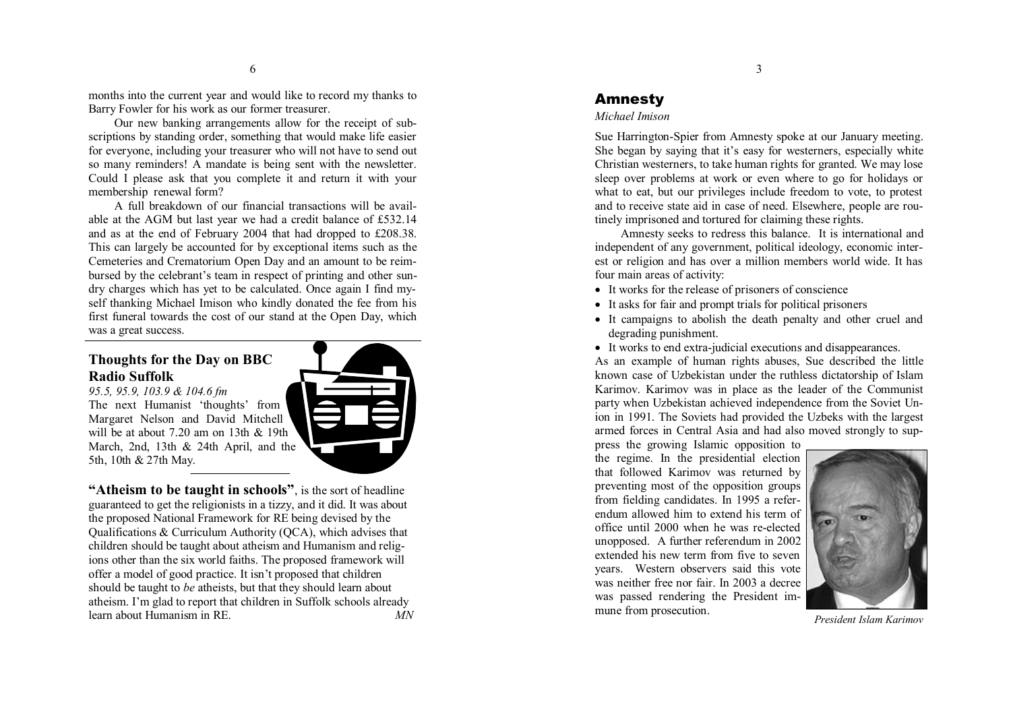months into the current year and would like to record my thanks to Barry Fowler for his work as our former treasurer.

Our new banking arrangements allow for the receipt of subscriptions by standing order, something that would make life easier<br>for everyone, including your treasurer who will not have to send out<br>so many reminders! A mandate is being sent with the newsletter.<br>Could I please ask th

able at the AGM but last year we had a credit balance of £532.14<br>and as at the end of February 2004 that had dropped to £208.38.<br>This can largely be accounted for by exceptional items such as the<br>Cemeteries and Crematorium bursed by the celebrant's team in respect of printing and other sun dry charges which has yet to be calculated. Once again I find my-<br>self thanking Michael Imison who kindly donated the fee from his first funeral towards the cost of our stand at the Open Day, which was a great success.

## **Thought s fo r the Day on B BC Radio Suffolk**

The next Humanist 'thoughts' from Margaret Nelson and David Mitchell will be at about  $7.20$  am on 13th & 19th

*95.5, 9 5.9, 10 3.9 & 10 4.6 fm* 

learn about Humanism in RE



5th, 10th & 27th May. "Atheism to be taught in schools", is the sort of headline guaranteed to get the religionists in a tizzy, and it did. It was about the proposed National Framework for RE being devised by the Qualifications & Curriculum Authority (QCA), which advises that children should be taught about atheism and Humanism and religions other than the six world faiths. The proposed framework will offer a model of good practice. It isn't proposed that children should be taught to be atheists, but that they should learn about atheism. I'm glad to report that children in Suffolk schools already

. *MN* 

## Amne s ty

#### *Mic h a e l Imison*

Sue Harrington-Spier from Amnesty spoke at our January meeting. She began by saying that it's easy for westerners, especially white Christian westerners, to take human rights for granted. We may lose sleep over problems at work or even where to go for holidays or what to eat, but our privileges include freedom to vote, to protest and to receive state aid in case of need. Elsewhere, people are rou-

tinely imprisoned and tortured for claiming these rights. Amnesty seeks to redress this balance. It is international and independent of any government, political ideology, economic inter est or religion and has over <sup>a</sup> million members world wide. It has four main areas of activity:

- It works for the release of prisoners of conscience
- It asks for fair and prompt trials for political prisoners
- It campaigns to abolish the death penalty and other cruel and degrading punishment.
- It works to end extra-judicial executions and disappearances.

As an example of human rights abuses, Sue described the little known case of Uzbekistan under the ruthless dictatorship of Islam Karimov. Karimov was in place as the leader of the Communist party when Uzbekistan achieved independence from the Soviet Union in 1991. The Soviets had provided the Uzbeks with the largest armed forces in Central Asia and had also moved strongly to suppress the growing Islamic opposition to

the regime. In the presidential election that followed Karimov was returned by preventing most of the opposition groups from fielding candidates. In 1995 a referendum allowed him to extend his term of office until 2000 when he was re-elected unopposed. A further referendum in 2002 extended his new term from five to seven years. Western observers said this vote was neither free nor fair. In 2003 a decree was passed rendering the President immune from prosecution.



*President Islam Karimov*